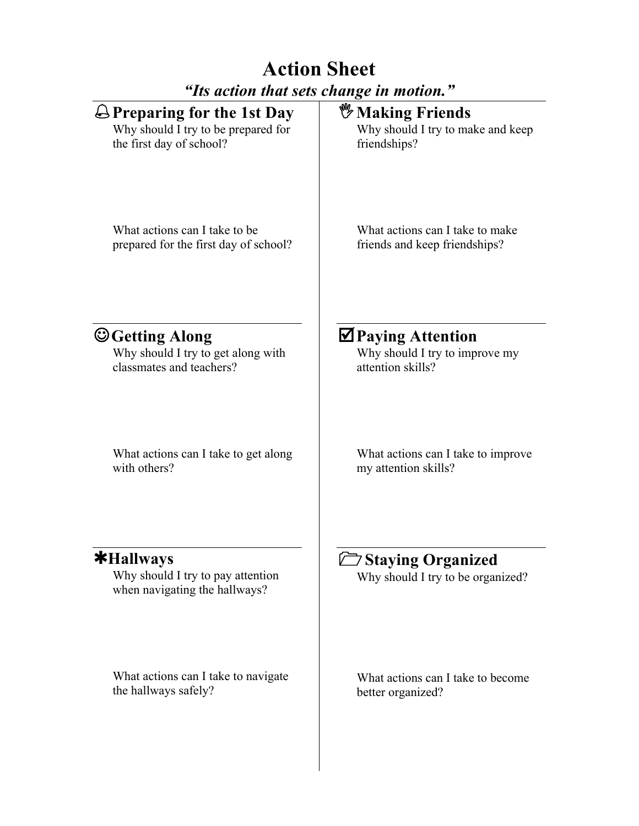# **Action Sheet** *"Its action that sets change in motion."*

| $\bigoplus$ Preparing for the 1st Day                                              | <b><i>W</i></b> Making Friends                                |
|------------------------------------------------------------------------------------|---------------------------------------------------------------|
| Why should I try to be prepared for                                                | Why should I try to make and keep                             |
| the first day of school?                                                           | friendships?                                                  |
| What actions can I take to be                                                      | What actions can I take to make                               |
| prepared for the first day of school?                                              | friends and keep friendships?                                 |
| $\bigcirc$ Getting Along                                                           | $\boxtimes$ Paying Attention                                  |
| Why should I try to get along with                                                 | Why should I try to improve my                                |
| classmates and teachers?                                                           | attention skills?                                             |
| What actions can I take to get along                                               | What actions can I take to improve                            |
| with others?                                                                       | my attention skills?                                          |
| $*$ Hallways<br>Why should I try to pay attention<br>when navigating the hallways? | <b>Staying Organized</b><br>Why should I try to be organized? |
| What actions can I take to navigate                                                | What actions can I take to become                             |
| the hallways safely?                                                               | better organized?                                             |